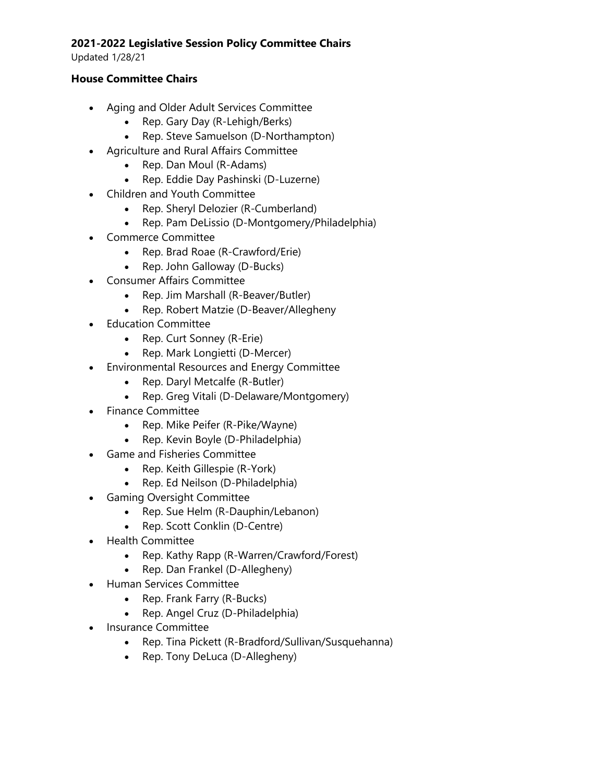## **2021-2022 Legislative Session Policy Committee Chairs**

Updated 1/28/21

## **House Committee Chairs**

- Aging and Older Adult Services Committee
	- Rep. Gary Day (R-Lehigh/Berks)
	- Rep. Steve Samuelson (D-Northampton)
- Agriculture and Rural Affairs Committee
	- Rep. Dan Moul (R-Adams)
	- Rep. Eddie Day Pashinski (D-Luzerne)
- Children and Youth Committee
	- Rep. Sheryl Delozier (R-Cumberland)
	- Rep. Pam DeLissio (D-Montgomery/Philadelphia)
- Commerce Committee
	- Rep. Brad Roae (R-Crawford/Erie)
	- Rep. John Galloway (D-Bucks)
- Consumer Affairs Committee
	- Rep. Jim Marshall (R-Beaver/Butler)
	- Rep. Robert Matzie (D-Beaver/Allegheny
- Education Committee
	- Rep. Curt Sonney (R-Erie)
	- Rep. Mark Longietti (D-Mercer)
- Environmental Resources and Energy Committee
	- Rep. Daryl Metcalfe (R-Butler)
	- Rep. Greg Vitali (D-Delaware/Montgomery)
- Finance Committee
	- Rep. Mike Peifer (R-Pike/Wayne)
	- Rep. Kevin Boyle (D-Philadelphia)
- Game and Fisheries Committee
	- Rep. Keith Gillespie (R-York)
	- Rep. Ed Neilson (D-Philadelphia)
- Gaming Oversight Committee
	- Rep. Sue Helm (R-Dauphin/Lebanon)
	- Rep. Scott Conklin (D-Centre)
- Health Committee
	- Rep. Kathy Rapp (R-Warren/Crawford/Forest)
	- Rep. Dan Frankel (D-Allegheny)
- Human Services Committee
	- Rep. Frank Farry (R-Bucks)
	- Rep. Angel Cruz (D-Philadelphia)
- Insurance Committee
	- Rep. Tina Pickett (R-Bradford/Sullivan/Susquehanna)
	- Rep. Tony DeLuca (D-Allegheny)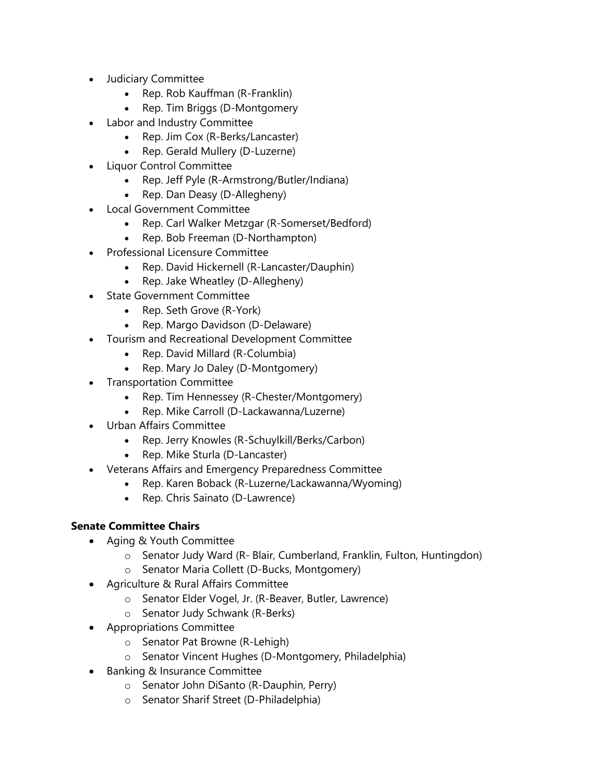- Judiciary Committee
	- Rep. Rob Kauffman (R-Franklin)
	- Rep. Tim Briggs (D-Montgomery
- Labor and Industry Committee
	- Rep. Jim Cox (R-Berks/Lancaster)
	- Rep. Gerald Mullery (D-Luzerne)
- Liquor Control Committee
	- Rep. Jeff Pyle (R-Armstrong/Butler/Indiana)
	- Rep. Dan Deasy (D-Allegheny)
- Local Government Committee
	- Rep. Carl Walker Metzgar (R-Somerset/Bedford)
	- Rep. Bob Freeman (D-Northampton)
- Professional Licensure Committee
	- Rep. David Hickernell (R-Lancaster/Dauphin)
	- Rep. Jake Wheatley (D-Allegheny)
- State Government Committee
	- Rep. Seth Grove (R-York)
	- Rep. Margo Davidson (D-Delaware)
- Tourism and Recreational Development Committee
	- Rep. David Millard (R-Columbia)
	- Rep. Mary Jo Daley (D-Montgomery)
- Transportation Committee
	- Rep. Tim Hennessey (R-Chester/Montgomery)
	- Rep. Mike Carroll (D-Lackawanna/Luzerne)
- Urban Affairs Committee
	- Rep. Jerry Knowles (R-Schuylkill/Berks/Carbon)
	- Rep. Mike Sturla (D-Lancaster)
- Veterans Affairs and Emergency Preparedness Committee
	- Rep. Karen Boback (R-Luzerne/Lackawanna/Wyoming)
	- Rep. Chris Sainato (D-Lawrence)

## **Senate Committee Chairs**

- Aging & Youth Committee
	- o Senator Judy Ward (R- Blair, Cumberland, Franklin, Fulton, Huntingdon)
	- o Senator Maria Collett (D-Bucks, Montgomery)
- Agriculture & Rural Affairs Committee
	- o Senator Elder Vogel, Jr. (R-Beaver, Butler, Lawrence)
	- o Senator Judy Schwank (R-Berks)
- Appropriations Committee
	- o Senator Pat Browne (R-Lehigh)
	- o Senator Vincent Hughes (D-Montgomery, Philadelphia)
- Banking & Insurance Committee
	- o Senator John DiSanto (R-Dauphin, Perry)
	- o Senator Sharif Street (D-Philadelphia)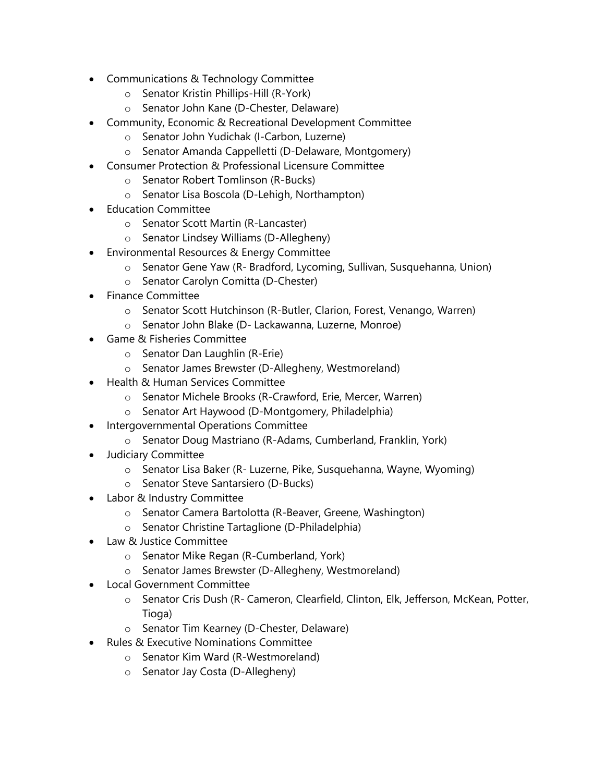- Communications & Technology Committee
	- o Senator Kristin Phillips-Hill (R-York)
	- o Senator John Kane (D-Chester, Delaware)
- Community, Economic & Recreational Development Committee
	- o Senator John Yudichak (I-Carbon, Luzerne)
	- o Senator Amanda Cappelletti (D-Delaware, Montgomery)
- Consumer Protection & Professional Licensure Committee
	- o Senator Robert Tomlinson (R-Bucks)
	- o Senator Lisa Boscola (D-Lehigh, Northampton)
- Education Committee
	- o Senator Scott Martin (R-Lancaster)
	- o Senator Lindsey Williams (D-Allegheny)
- Environmental Resources & Energy Committee
	- o Senator Gene Yaw (R- Bradford, Lycoming, Sullivan, Susquehanna, Union)
	- o Senator Carolyn Comitta (D-Chester)
- Finance Committee
	- o Senator Scott Hutchinson (R-Butler, Clarion, Forest, Venango, Warren)
	- o Senator John Blake (D- Lackawanna, Luzerne, Monroe)
- Game & Fisheries Committee
	- o Senator Dan Laughlin (R-Erie)
	- o Senator James Brewster (D-Allegheny, Westmoreland)
- Health & Human Services Committee
	- o Senator Michele Brooks (R-Crawford, Erie, Mercer, Warren)
	- o Senator Art Haywood (D-Montgomery, Philadelphia)
- Intergovernmental Operations Committee
	- o Senator Doug Mastriano (R-Adams, Cumberland, Franklin, York)
- Judiciary Committee
	- o Senator Lisa Baker (R- Luzerne, Pike, Susquehanna, Wayne, Wyoming)
	- o Senator Steve Santarsiero (D-Bucks)
- Labor & Industry Committee
	- o Senator Camera Bartolotta (R-Beaver, Greene, Washington)
	- o Senator Christine Tartaglione (D-Philadelphia)
- Law & Justice Committee
	- o Senator Mike Regan (R-Cumberland, York)
	- o Senator James Brewster (D-Allegheny, Westmoreland)
- Local Government Committee
	- o Senator Cris Dush (R- Cameron, Clearfield, Clinton, Elk, Jefferson, McKean, Potter, Tioga)
	- o Senator Tim Kearney (D-Chester, Delaware)
- Rules & Executive Nominations Committee
	- o Senator Kim Ward (R-Westmoreland)
	- o Senator Jay Costa (D-Allegheny)